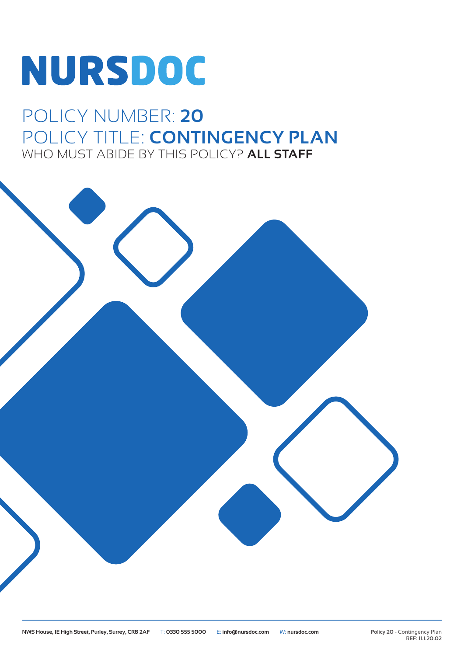# NURSDOC

# POLICY NUMBER: **20** POLICY TITLE: **CONTINGENCY PLAN** WHO MUST ABIDE BY THIS POLICY? **ALL STAFF**